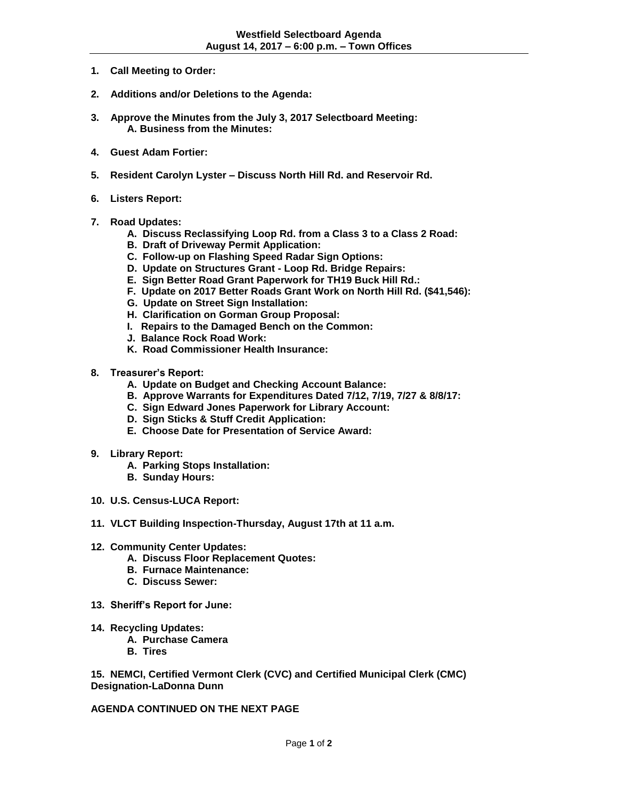- **1. Call Meeting to Order:**
- **2. Additions and/or Deletions to the Agenda:**
- **3. Approve the Minutes from the July 3, 2017 Selectboard Meeting: A. Business from the Minutes:**
- **4. Guest Adam Fortier:**
- **5. Resident Carolyn Lyster – Discuss North Hill Rd. and Reservoir Rd.**
- **6. Listers Report:**
- **7. Road Updates:**
	- **A. Discuss Reclassifying Loop Rd. from a Class 3 to a Class 2 Road:**
	- **B. Draft of Driveway Permit Application:**
	- **C. Follow-up on Flashing Speed Radar Sign Options:**
	- **D. Update on Structures Grant - Loop Rd. Bridge Repairs:**
	- **E. Sign Better Road Grant Paperwork for TH19 Buck Hill Rd.:**
	- **F. Update on 2017 Better Roads Grant Work on North Hill Rd. (\$41,546):**
	- **G. Update on Street Sign Installation:**
	- **H. Clarification on Gorman Group Proposal:**
	- **I. Repairs to the Damaged Bench on the Common:**
	- **J. Balance Rock Road Work:**
	- **K. Road Commissioner Health Insurance:**
- **8. Treasurer's Report:** 
	- **A. Update on Budget and Checking Account Balance:**
	- **B. Approve Warrants for Expenditures Dated 7/12, 7/19, 7/27 & 8/8/17:**
	- **C. Sign Edward Jones Paperwork for Library Account:**
	- **D. Sign Sticks & Stuff Credit Application:**
	- **E. Choose Date for Presentation of Service Award:**
- **9. Library Report:**
	- **A. Parking Stops Installation:**
	- **B. Sunday Hours:**
- **10. U.S. Census-LUCA Report:**
- **11. VLCT Building Inspection-Thursday, August 17th at 11 a.m.**
- **12. Community Center Updates:** 
	- **A. Discuss Floor Replacement Quotes:**
	- **B. Furnace Maintenance:**
	- **C. Discuss Sewer:**
- **13. Sheriff's Report for June:**
- **14. Recycling Updates:**
	- **A. Purchase Camera**
	- **B. Tires**

**15. NEMCI, Certified Vermont Clerk (CVC) and Certified Municipal Clerk (CMC) Designation-LaDonna Dunn**

**AGENDA CONTINUED ON THE NEXT PAGE**